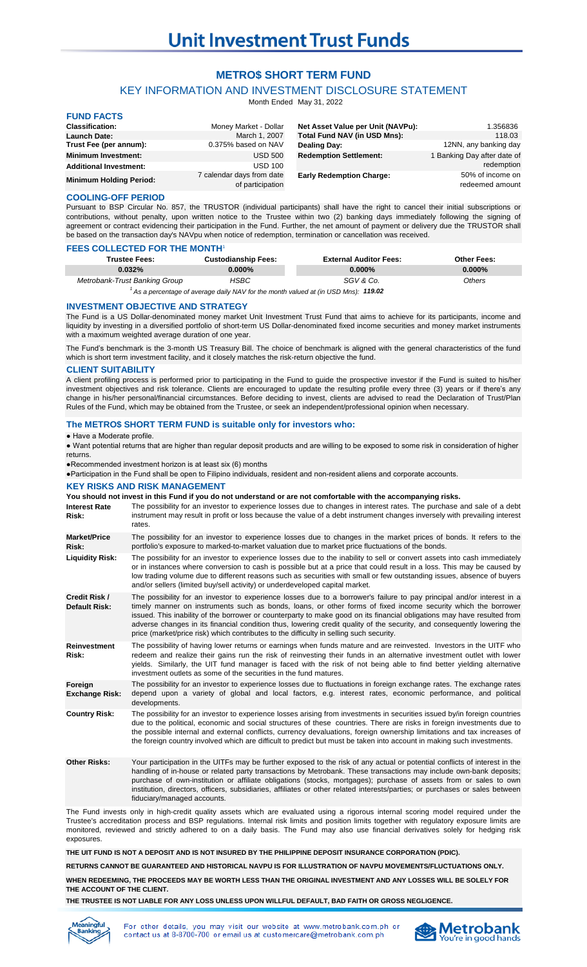# **METRO\$ SHORT TERM FUND**

# KEY INFORMATION AND INVESTMENT DISCLOSURE STATEMENT

Month Ended May 31, 2022

| <b>FUND FACTS</b>              |                                               |                                     |                                     |
|--------------------------------|-----------------------------------------------|-------------------------------------|-------------------------------------|
| <b>Classification:</b>         | Money Market - Dollar                         | Net Asset Value per Unit (NAVPu):   | 1.356836                            |
| <b>Launch Date:</b>            | March 1, 2007                                 | <b>Total Fund NAV (in USD Mns):</b> | 118.03                              |
| Trust Fee (per annum):         | 0.375% based on NAV                           | Dealing Day:                        | 12NN, any banking day               |
| <b>Minimum Investment:</b>     | <b>USD 500</b>                                | <b>Redemption Settlement:</b>       | 1 Banking Day after date of         |
| <b>Additional Investment:</b>  | <b>USD 100</b>                                |                                     | redemption                          |
| <b>Minimum Holding Period:</b> | 7 calendar days from date<br>of participation | <b>Early Redemption Charge:</b>     | 50% of income on<br>redeemed amount |

## **COOLING-OFF PERIOD**

Pursuant to BSP Circular No. 857, the TRUSTOR (individual participants) shall have the right to cancel their initial subscriptions or contributions, without penalty, upon written notice to the Trustee within two (2) banking days immediately following the signing of agreement or contract evidencing their participation in the Fund. Further, the net amount of payment or delivery due the TRUSTOR shall be based on the transaction day's NAVpu when notice of redemption, termination or cancellation was received.

## **FEES COLLECTED FOR THE MONTH**<sup>1</sup>

| Trustee Fees:                 | <b>Custodianship Fees:</b> | <b>External Auditor Fees:</b>                                                            | <b>Other Fees:</b> |
|-------------------------------|----------------------------|------------------------------------------------------------------------------------------|--------------------|
| 0.032%                        | $0.000\%$                  | $0.000\%$                                                                                | $0.000\%$          |
| Metrobank-Trust Banking Group | HSBC                       | SGV & Co.                                                                                | Others             |
|                               |                            | $^1$ As a perceptions of average daily NAV for the menth valued at (in LISD Mps): 119 02 |                    |

<sup>1</sup> As a percentage of average daily NAV for the month valued at (in USD Mns): **119.02** 

#### **INVESTMENT OBJECTIVE AND STRATEGY**

The Fund is a US Dollar-denominated money market Unit Investment Trust Fund that aims to achieve for its participants, income and liquidity by investing in a diversified portfolio of short-term US Dollar-denominated fixed income securities and money market instruments with a maximum weighted average duration of one year.

The Fund's benchmark is the 3-month US Treasury Bill. The choice of benchmark is aligned with the general characteristics of the fund which is short term investment facility, and it closely matches the risk-return objective the fund.

#### **CLIENT SUITABILITY**

A client profiling process is performed prior to participating in the Fund to guide the prospective investor if the Fund is suited to his/her investment objectives and risk tolerance. Clients are encouraged to update the resulting profile every three (3) years or if there's any change in his/her personal/financial circumstances. Before deciding to invest, clients are advised to read the Declaration of Trust/Plan Rules of the Fund, which may be obtained from the Trustee, or seek an independent/professional opinion when necessary.

#### **The METRO\$ SHORT TERM FUND is suitable only for investors who:**

#### ● Have a Moderate profile.

● Want potential returns that are higher than regular deposit products and are willing to be exposed to some risk in consideration of higher returns.

●Recommended investment horizon is at least six (6) months

●Participation in the Fund shall be open to Filipino individuals, resident and non-resident aliens and corporate accounts.

### **KEY RISKS AND RISK MANAGEMENT**

**You should not invest in this Fund if you do not understand or are not comfortable with the accompanying risks.**

| <b>Interest Rate</b><br>Risk:                | The possibility for an investor to experience losses due to changes in interest rates. The purchase and sale of a debt<br>instrument may result in profit or loss because the value of a debt instrument changes inversely with prevailing interest<br>rates.                                                                                                                                                                                                                                                                                                                            |
|----------------------------------------------|------------------------------------------------------------------------------------------------------------------------------------------------------------------------------------------------------------------------------------------------------------------------------------------------------------------------------------------------------------------------------------------------------------------------------------------------------------------------------------------------------------------------------------------------------------------------------------------|
| <b>Market/Price</b><br>Risk:                 | The possibility for an investor to experience losses due to changes in the market prices of bonds. It refers to the<br>portfolio's exposure to marked-to-market valuation due to market price fluctuations of the bonds.                                                                                                                                                                                                                                                                                                                                                                 |
| <b>Liquidity Risk:</b>                       | The possibility for an investor to experience losses due to the inability to sell or convert assets into cash immediately<br>or in instances where conversion to cash is possible but at a price that could result in a loss. This may be caused by<br>low trading volume due to different reasons such as securities with small or few outstanding issues, absence of buyers<br>and/or sellers (limited buy/sell activity) or underdeveloped capital market.                                                                                                                            |
| <b>Credit Risk /</b><br><b>Default Risk:</b> | The possibility for an investor to experience losses due to a borrower's failure to pay principal and/or interest in a<br>timely manner on instruments such as bonds, loans, or other forms of fixed income security which the borrower<br>issued. This inability of the borrower or counterparty to make good on its financial obligations may have resulted from<br>adverse changes in its financial condition thus, lowering credit quality of the security, and consequently lowering the<br>price (market/price risk) which contributes to the difficulty in selling such security. |
| <b>Reinvestment</b><br>Risk:                 | The possibility of having lower returns or earnings when funds mature and are reinvested. Investors in the UITF who<br>redeem and realize their gains run the risk of reinvesting their funds in an alternative investment outlet with lower<br>yields. Similarly, the UIT fund manager is faced with the risk of not being able to find better yielding alternative<br>investment outlets as some of the securities in the fund matures.                                                                                                                                                |
| Foreign<br><b>Exchange Risk:</b>             | The possibility for an investor to experience losses due to fluctuations in foreign exchange rates. The exchange rates<br>depend upon a variety of global and local factors, e.g. interest rates, economic performance, and political<br>developments.                                                                                                                                                                                                                                                                                                                                   |
| <b>Country Risk:</b>                         | The possibility for an investor to experience losses arising from investments in securities issued by/in foreign countries<br>due to the political, economic and social structures of these countries. There are risks in foreign investments due to<br>the possible internal and external conflicts, currency devaluations, foreign ownership limitations and tax increases of<br>the foreign country involved which are difficult to predict but must be taken into account in making such investments.                                                                                |
| <b>Other Risks:</b>                          | Your participation in the UITFs may be further exposed to the risk of any actual or potential conflicts of interest in the<br>handling of in-house or related party transactions by Metrobank. These transactions may include own-bank deposits;<br>achini if inno brithnica in ifficiti chlisticae fiticle (accommission), annohini if incite form in color to cha                                                                                                                                                                                                                      |

of own-institution or affiliate obligations (stocks, mortgages); purchase of assets from or sales to own institution, directors, officers, subsidiaries, affiliates or other related interests/parties; or purchases or sales between fiduciary/managed accounts.

The Fund invests only in high-credit quality assets which are evaluated using a rigorous internal scoring model required under the Trustee's accreditation process and BSP regulations. Internal risk limits and position limits together with regulatory exposure limits are monitored, reviewed and strictly adhered to on a daily basis. The Fund may also use financial derivatives solely for hedging risk exposures.

**THE UIT FUND IS NOT A DEPOSIT AND IS NOT INSURED BY THE PHILIPPINE DEPOSIT INSURANCE CORPORATION (PDIC).**

**RETURNS CANNOT BE GUARANTEED AND HISTORICAL NAVPU IS FOR ILLUSTRATION OF NAVPU MOVEMENTS/FLUCTUATIONS ONLY.**

**WHEN REDEEMING, THE PROCEEDS MAY BE WORTH LESS THAN THE ORIGINAL INVESTMENT AND ANY LOSSES WILL BE SOLELY FOR THE ACCOUNT OF THE CLIENT.**

**THE TRUSTEE IS NOT LIABLE FOR ANY LOSS UNLESS UPON WILLFUL DEFAULT, BAD FAITH OR GROSS NEGLIGENCE.**



you may visit our website at www.metrobank.com.ph or For other details contact us at 8-8700-700 or email us at customercare@metrobank.com.ph

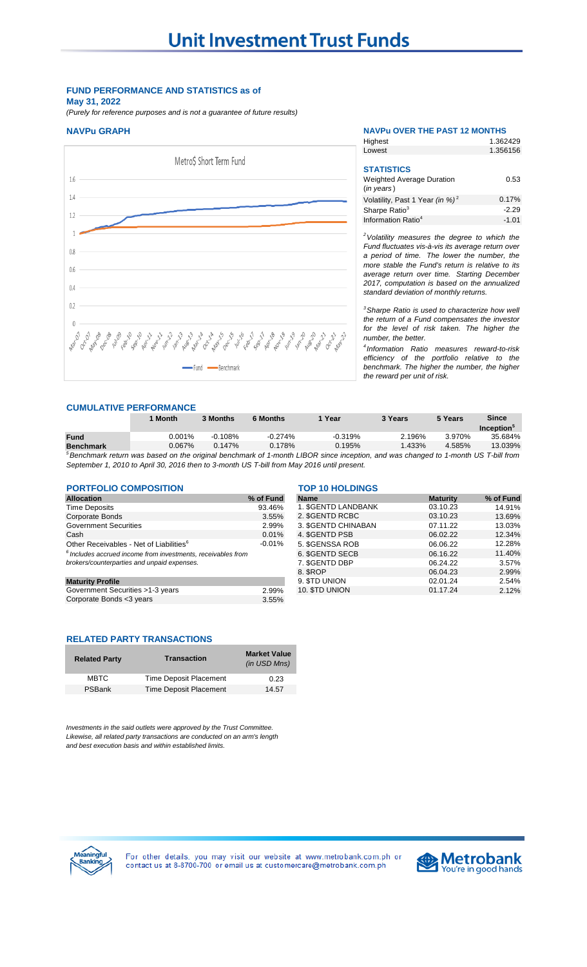## **FUND PERFORMANCE AND STATISTICS as of May 31, 2022**

*(Purely for reference purposes and is not a guarantee of future results)*

# **NAVPu GRAPH NAVPu OVER THE PAST 12 MONTHS**



| Highest                                     | 1.362429 |
|---------------------------------------------|----------|
| Lowest                                      | 1.356156 |
|                                             |          |
| <b>STATISTICS</b>                           |          |
| <b>Weighted Average Duration</b>            | 0.53     |
| $(in \text{ years})$                        |          |
| Volatility, Past 1 Year (in %) <sup>2</sup> | 0.17%    |
| Sharpe Ratio <sup>3</sup>                   | $-2.29$  |
| Information Ratio <sup>4</sup>              | $-1.01$  |

*<sup>2</sup>Volatility measures the degree to which the Fund fluctuates vis-à-vis its average return over a period of time. The lower the number, the more stable the Fund's return is relative to its average return over time. Starting December 2017, computation is based on the annualized standard deviation of monthly returns.* 

*<sup>3</sup>Sharpe Ratio is used to characterize how well the return of a Fund compensates the investor for the level of risk taken. The higher the number, the better.*

*4 Information Ratio measures reward-to-risk efficiency of the portfolio relative to the benchmark. The higher the number, the higher the reward per unit of risk.*

## **CUMULATIVE PERFORMANCE**

|                  | <b>Month</b> | <b>3 Months</b> | 6 Months  | Year                                                                                                                                  | <b>3 Years</b> | 5 Years | <b>Since</b>                  |
|------------------|--------------|-----------------|-----------|---------------------------------------------------------------------------------------------------------------------------------------|----------------|---------|-------------------------------|
|                  |              |                 |           |                                                                                                                                       |                |         | <b>Inception</b> <sup>®</sup> |
| <b>Fund</b>      | $0.001\%$    | $-0.108\%$      | $-0.274%$ | $-0.319%$                                                                                                                             | 2.196%         | 3.970%  | 35.684%                       |
| <b>Benchmark</b> | $0.067\%$    | 0.147%          | 0.178%    | 0.195%                                                                                                                                | $1.433\%$      | 4.585%  | 13.039%                       |
|                  |              |                 |           | $5$ Benchmark return was based on the original benchmark of 1-month LIROR since incention, and was changed to 1-month LIS T-bill from |                |         |                               |

<sup>5</sup>Benchmark return was based on the original benchmark of 1-month LIBOR since inception, and was changed to 1-month US T-bill from *September 1, 2010 to April 30, 2016 then to 3-month US T-bill from May 2016 until present.* 

# **PORTFOLIO COMPOSITION TOP 10 HOLDINGS**

| <b>Allocation</b>                                              | % of Fund | <b>Name</b>               | <b>Maturity</b> | % of Fund |
|----------------------------------------------------------------|-----------|---------------------------|-----------------|-----------|
| <b>Time Deposits</b>                                           | 93.46%    | <b>1. SGENTD LANDBANK</b> | 03.10.23        | 14.91%    |
| Corporate Bonds                                                | 3.55%     | 2. \$GENTD RCBC           | 03.10.23        | 13.69%    |
| <b>Government Securities</b>                                   | 2.99%     | 3. \$GENTD CHINABAN       | 07.11.22        | 13.03%    |
| Cash                                                           | 0.01%     | 4. \$GENTD PSB            | 06.02.22        | 12.34%    |
| Other Receivables - Net of Liabilities <sup>6</sup>            | $-0.01%$  | 5. \$GENSSA ROB           | 06.06.22        | 12.28%    |
| $6$ Includes accrued income from investments, receivables from |           | 6. SGENTD SECB            | 06.16.22        | 11.40%    |
| brokers/counterparties and unpaid expenses.                    |           | 7. \$GENTD DBP            | 06.24.22        | 3.57%     |
|                                                                |           | 8. SROP                   | 06.04.23        | 2.99%     |
| <b>Maturity Profile</b>                                        |           | 9. STD UNION              | 02.01.24        | 2.54%     |
| Government Securities >1-3 years                               | 2.99%     | 10. STD UNION             | 01.17.24        | 2.12%     |
| Corporate Bonds <3 years                                       | 3.55%     |                           |                 |           |

| <b>Allocation</b>                                               | % of Fund | <b>Name</b>               | <b>Maturity</b> |
|-----------------------------------------------------------------|-----------|---------------------------|-----------------|
| Time Deposits                                                   | 93.46%    | <b>1. SGENTD LANDBANK</b> | 03.10.23        |
| Corporate Bonds                                                 | 3.55%     | 2. \$GENTD RCBC           | 03.10.23        |
| Government Securities                                           | 2.99%     | 3. SGENTD CHINABAN        | 07.11.22        |
| Cash                                                            | 0.01%     | 4. SGENTD PSB             | 06.02.22        |
| Other Receivables - Net of Liabilities <sup>6</sup>             | $-0.01\%$ | 5. \$GENSSA ROB           | 06.06.22        |
| $^6$ Includes accrued income from investments, receivables from |           | 6. SGENTD SECB            | 06.16.22        |
| brokers/counterparties and unpaid expenses.                     |           | 7. \$GENTD DBP            | 06.24.22        |
|                                                                 |           | 8. SROP                   | 06.04.23        |
| <b>Maturity Profile</b>                                         |           | 9. STD UNION              | 02.01.24        |
| Government Securities >1-3 years                                | 2.99%     | 10. STD UNION             | 01.17.24        |

## **RELATED PARTY TRANSACTIONS**

| <b>Related Party</b> | <b>Transaction</b>            | <b>Market Value</b><br>(in USD Mns) |
|----------------------|-------------------------------|-------------------------------------|
| <b>MBTC</b>          | <b>Time Deposit Placement</b> | 0.23                                |
| PSBank               | Time Deposit Placement        | 14.57                               |

*Investments in the said outlets were approved by the Trust Committee. Likewise, all related party transactions are conducted on an arm's length and best execution basis and within established limits.*



For other details, you may visit our website at www.metrobank.com.ph or contact us at 8-8700-700 or email us at customercare@metrobank.com.ph